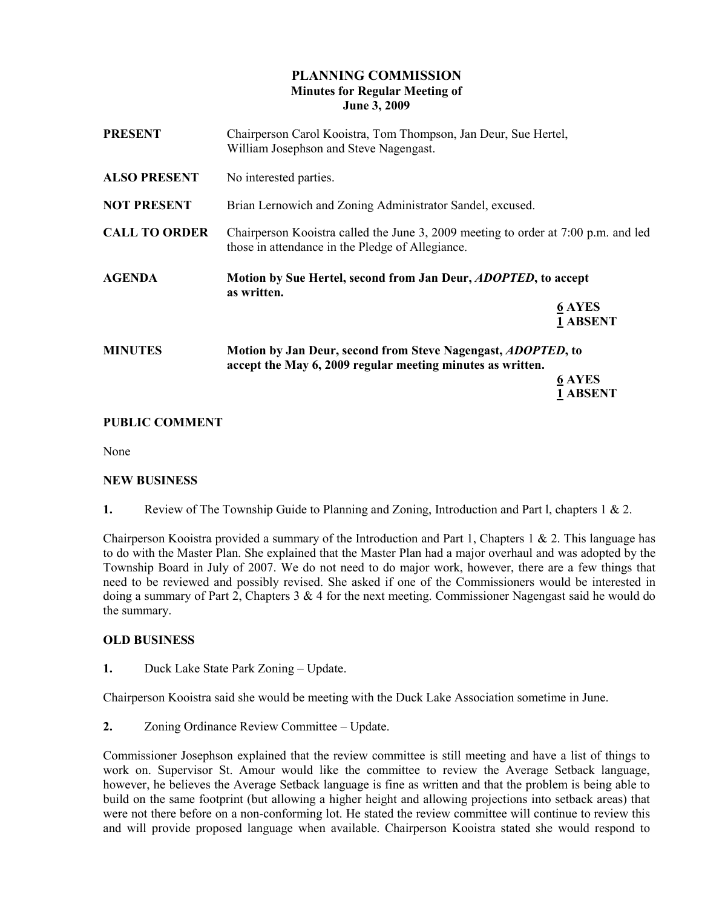# PLANNING COMMISSION Minutes for Regular Meeting of June 3, 2009

| <b>PRESENT</b>       | Chairperson Carol Kooistra, Tom Thompson, Jan Deur, Sue Hertel,<br>William Josephson and Steve Nagengast.                              |                 |
|----------------------|----------------------------------------------------------------------------------------------------------------------------------------|-----------------|
| <b>ALSO PRESENT</b>  | No interested parties.                                                                                                                 |                 |
| <b>NOT PRESENT</b>   | Brian Lernowich and Zoning Administrator Sandel, excused.                                                                              |                 |
| <b>CALL TO ORDER</b> | Chairperson Kooistra called the June 3, 2009 meeting to order at 7:00 p.m. and led<br>those in attendance in the Pledge of Allegiance. |                 |
| <b>AGENDA</b>        | Motion by Sue Hertel, second from Jan Deur, <i>ADOPTED</i> , to accept<br>as written.                                                  |                 |
|                      |                                                                                                                                        | <b>6 AYES</b>   |
|                      |                                                                                                                                        | 1 ABSENT        |
| <b>MINUTES</b>       | Motion by Jan Deur, second from Steve Nagengast, <i>ADOPTED</i> , to                                                                   |                 |
|                      | accept the May 6, 2009 regular meeting minutes as written.                                                                             |                 |
|                      |                                                                                                                                        | <b>6 AYES</b>   |
|                      |                                                                                                                                        | <b>1 ABSENT</b> |

## PUBLIC COMMENT

None

#### NEW BUSINESS

1. Review of The Township Guide to Planning and Zoning, Introduction and Part I, chapters 1 & 2.

Chairperson Kooistra provided a summary of the Introduction and Part 1, Chapters 1  $\&$  2. This language has to do with the Master Plan. She explained that the Master Plan had a major overhaul and was adopted by the Township Board in July of 2007. We do not need to do major work, however, there are a few things that need to be reviewed and possibly revised. She asked if one of the Commissioners would be interested in doing a summary of Part 2, Chapters  $3 \& 4$  for the next meeting. Commissioner Nagengast said he would do the summary.

#### OLD BUSINESS

1. Duck Lake State Park Zoning – Update.

Chairperson Kooistra said she would be meeting with the Duck Lake Association sometime in June.

2. Zoning Ordinance Review Committee – Update.

Commissioner Josephson explained that the review committee is still meeting and have a list of things to work on. Supervisor St. Amour would like the committee to review the Average Setback language, however, he believes the Average Setback language is fine as written and that the problem is being able to build on the same footprint (but allowing a higher height and allowing projections into setback areas) that were not there before on a non-conforming lot. He stated the review committee will continue to review this and will provide proposed language when available. Chairperson Kooistra stated she would respond to